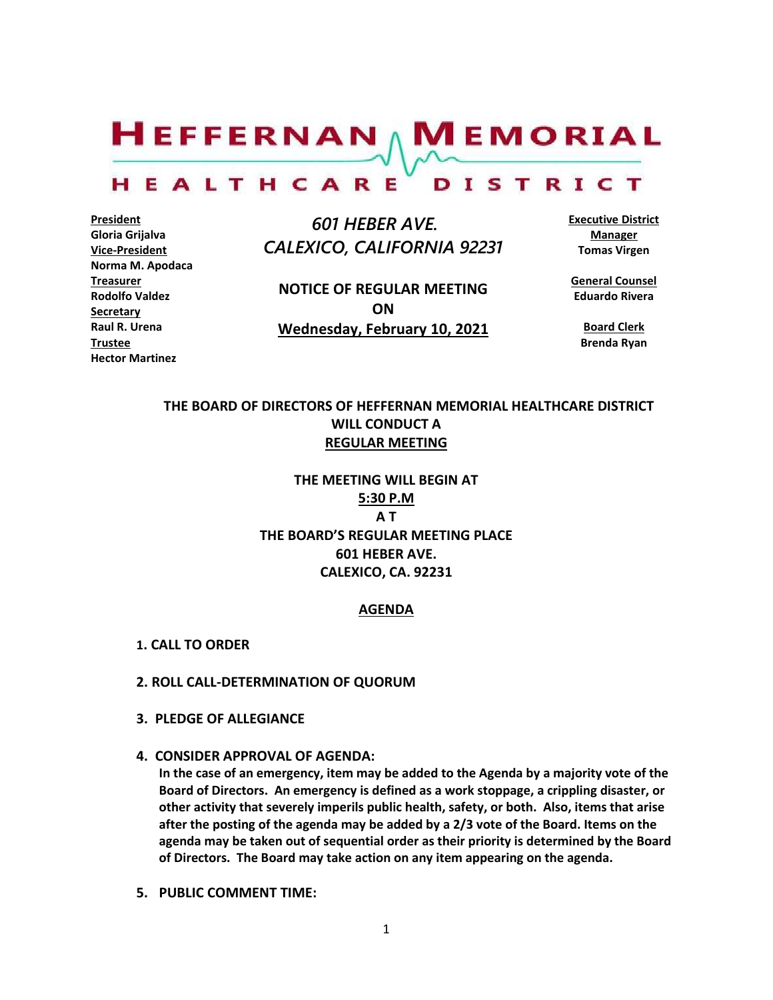$H$ EFFERNAN  $\wedge$  M EMORIAL

#### HEALTHCARE DISTRICT

**President Gloria Grijalva Vice-President Norma M. Apodaca Treasurer Rodolfo Valdez Secretary Raul R. Urena Trustee Hector Martinez**

 *601 HEBER AVE. CALEXICO, CALIFORNIA 92231*

**NOTICE OF REGULAR MEETING ON Wednesday, February 10, 2021** **Executive District Manager Tomas Virgen**

**General Counsel Eduardo Rivera**

**Board Clerk Brenda Ryan**

# **THE BOARD OF DIRECTORS OF HEFFERNAN MEMORIAL HEALTHCARE DISTRICT WILL CONDUCT A REGULAR MEETING**

**THE MEETING WILL BEGIN AT 5:30 P.M A T THE BOARD'S REGULAR MEETING PLACE 601 HEBER AVE. CALEXICO, CA. 92231**

#### **AGENDA**

- **1. CALL TO ORDER**
- **2. ROLL CALL-DETERMINATION OF QUORUM**
- **3. PLEDGE OF ALLEGIANCE**
- **4. CONSIDER APPROVAL OF AGENDA:**

**In the case of an emergency, item may be added to the Agenda by a majority vote of the Board of Directors. An emergency is defined as a work stoppage, a crippling disaster, or other activity that severely imperils public health, safety, or both. Also, items that arise after the posting of the agenda may be added by a 2/3 vote of the Board. Items on the agenda may be taken out of sequential order as their priority is determined by the Board of Directors. The Board may take action on any item appearing on the agenda.**

**5. PUBLIC COMMENT TIME:**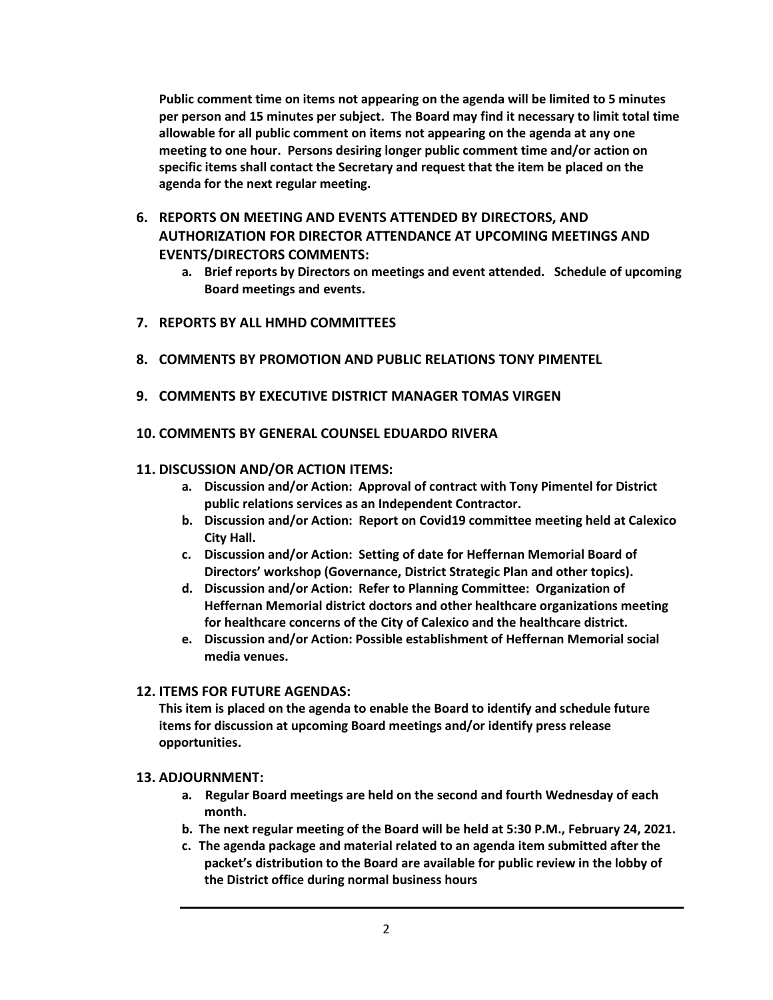**Public comment time on items not appearing on the agenda will be limited to 5 minutes per person and 15 minutes per subject. The Board may find it necessary to limit total time allowable for all public comment on items not appearing on the agenda at any one meeting to one hour. Persons desiring longer public comment time and/or action on specific items shall contact the Secretary and request that the item be placed on the agenda for the next regular meeting.**

- **6. REPORTS ON MEETING AND EVENTS ATTENDED BY DIRECTORS, AND AUTHORIZATION FOR DIRECTOR ATTENDANCE AT UPCOMING MEETINGS AND EVENTS/DIRECTORS COMMENTS:**
	- **a. Brief reports by Directors on meetings and event attended. Schedule of upcoming Board meetings and events.**
- **7. REPORTS BY ALL HMHD COMMITTEES**
- **8. COMMENTS BY PROMOTION AND PUBLIC RELATIONS TONY PIMENTEL**
- **9. COMMENTS BY EXECUTIVE DISTRICT MANAGER TOMAS VIRGEN**
- **10. COMMENTS BY GENERAL COUNSEL EDUARDO RIVERA**

## **11. DISCUSSION AND/OR ACTION ITEMS:**

- **a. Discussion and/or Action: Approval of contract with Tony Pimentel for District public relations services as an Independent Contractor.**
- **b. Discussion and/or Action: Report on Covid19 committee meeting held at Calexico City Hall.**
- **c. Discussion and/or Action: Setting of date for Heffernan Memorial Board of Directors' workshop (Governance, District Strategic Plan and other topics).**
- **d. Discussion and/or Action: Refer to Planning Committee: Organization of Heffernan Memorial district doctors and other healthcare organizations meeting for healthcare concerns of the City of Calexico and the healthcare district.**
- **e. Discussion and/or Action: Possible establishment of Heffernan Memorial social media venues.**

## **12. ITEMS FOR FUTURE AGENDAS:**

**This item is placed on the agenda to enable the Board to identify and schedule future items for discussion at upcoming Board meetings and/or identify press release opportunities.**

## **13. ADJOURNMENT:**

- **a. Regular Board meetings are held on the second and fourth Wednesday of each month.**
- **b. The next regular meeting of the Board will be held at 5:30 P.M., February 24, 2021.**
- **c. The agenda package and material related to an agenda item submitted after the packet's distribution to the Board are available for public review in the lobby of the District office during normal business hours**